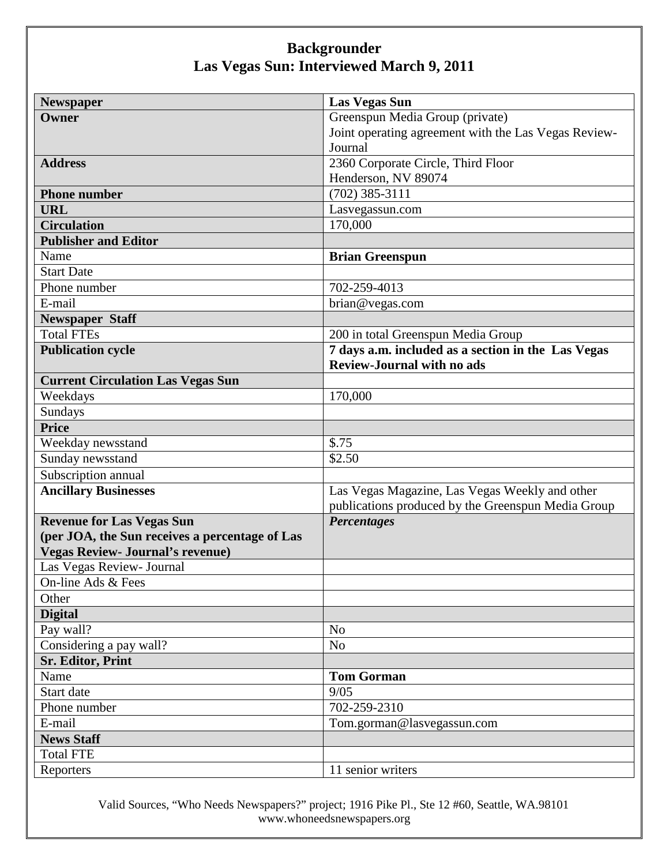| <b>Newspaper</b>                               | <b>Las Vegas Sun</b>                                 |
|------------------------------------------------|------------------------------------------------------|
| Owner                                          | Greenspun Media Group (private)                      |
|                                                | Joint operating agreement with the Las Vegas Review- |
|                                                | Journal                                              |
| <b>Address</b>                                 | 2360 Corporate Circle, Third Floor                   |
|                                                | Henderson, NV 89074                                  |
| <b>Phone number</b>                            | $(702)$ 385-3111                                     |
| <b>URL</b>                                     | Lasvegassun.com                                      |
| <b>Circulation</b>                             | 170,000                                              |
| <b>Publisher and Editor</b>                    |                                                      |
| Name                                           | <b>Brian Greenspun</b>                               |
| <b>Start Date</b>                              |                                                      |
| Phone number                                   | 702-259-4013                                         |
| E-mail                                         | brian@vegas.com                                      |
| <b>Newspaper Staff</b>                         |                                                      |
| <b>Total FTEs</b>                              | 200 in total Greenspun Media Group                   |
| <b>Publication cycle</b>                       | 7 days a.m. included as a section in the Las Vegas   |
|                                                | <b>Review-Journal with no ads</b>                    |
| <b>Current Circulation Las Vegas Sun</b>       |                                                      |
| Weekdays                                       | 170,000                                              |
| Sundays                                        |                                                      |
| <b>Price</b>                                   |                                                      |
| Weekday newsstand                              | \$.75                                                |
| Sunday newsstand                               | \$2.50                                               |
| Subscription annual                            |                                                      |
| <b>Ancillary Businesses</b>                    | Las Vegas Magazine, Las Vegas Weekly and other       |
|                                                | publications produced by the Greenspun Media Group   |
| <b>Revenue for Las Vegas Sun</b>               | <b>Percentages</b>                                   |
| (per JOA, the Sun receives a percentage of Las |                                                      |
| <b>Vegas Review- Journal's revenue)</b>        |                                                      |
| Las Vegas Review- Journal                      |                                                      |
| On-line Ads & Fees                             |                                                      |
| Other                                          |                                                      |
| <b>Digital</b>                                 |                                                      |
| Pay wall?                                      | No                                                   |
| Considering a pay wall?                        | N <sub>o</sub>                                       |
| <b>Sr. Editor, Print</b>                       |                                                      |
| Name                                           | <b>Tom Gorman</b>                                    |
| Start date                                     | 9/05                                                 |
| Phone number                                   | 702-259-2310                                         |
| E-mail                                         | Tom.gorman@lasvegassun.com                           |
| <b>News Staff</b>                              |                                                      |
| <b>Total FTE</b>                               |                                                      |
| Reporters                                      | 11 senior writers                                    |

Valid Sources, "Who Needs Newspapers?" project; 1916 Pike Pl., Ste 12 #60, Seattle, WA.98101 www.whoneedsnewspapers.org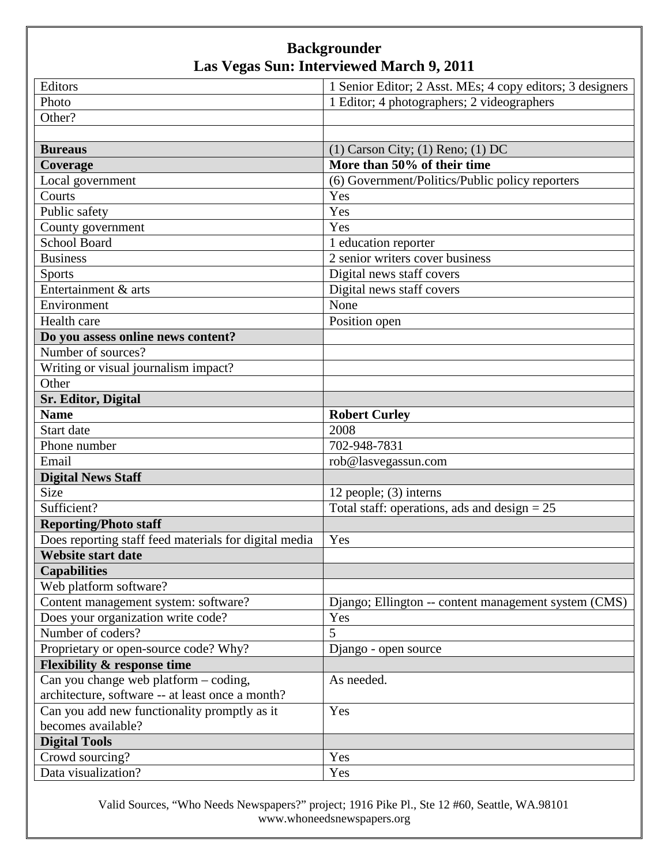| Editors                                               | 1 Senior Editor; 2 Asst. MEs; 4 copy editors; 3 designers |
|-------------------------------------------------------|-----------------------------------------------------------|
| Photo                                                 | 1 Editor; 4 photographers; 2 videographers                |
| Other?                                                |                                                           |
|                                                       |                                                           |
| <b>Bureaus</b>                                        | $(1)$ Carson City; $(1)$ Reno; $(1)$ DC                   |
| Coverage                                              | More than 50% of their time                               |
| Local government                                      | (6) Government/Politics/Public policy reporters           |
| Courts                                                | Yes                                                       |
| Public safety                                         | Yes                                                       |
| County government                                     | Yes                                                       |
| <b>School Board</b>                                   | 1 education reporter                                      |
| <b>Business</b>                                       | 2 senior writers cover business                           |
| <b>Sports</b>                                         | Digital news staff covers                                 |
| Entertainment & arts                                  | Digital news staff covers                                 |
| Environment                                           | None                                                      |
| Health care                                           | Position open                                             |
| Do you assess online news content?                    |                                                           |
| Number of sources?                                    |                                                           |
| Writing or visual journalism impact?                  |                                                           |
| Other                                                 |                                                           |
| <b>Sr. Editor, Digital</b>                            |                                                           |
| <b>Name</b>                                           | <b>Robert Curley</b>                                      |
| Start date                                            | 2008                                                      |
| Phone number                                          | 702-948-7831                                              |
| Email                                                 | rob@lasvegassun.com                                       |
| <b>Digital News Staff</b>                             |                                                           |
| Size                                                  | 12 people; (3) interns                                    |
| Sufficient?                                           | Total staff: operations, ads and design $= 25$            |
| <b>Reporting/Photo staff</b>                          |                                                           |
| Does reporting staff feed materials for digital media | Yes                                                       |
| <b>Website start date</b>                             |                                                           |
| <b>Capabilities</b>                                   |                                                           |
| Web platform software?                                |                                                           |
| Content management system: software?                  | Django; Ellington -- content management system (CMS)      |
| Does your organization write code?                    | Yes                                                       |
| Number of coders?                                     | 5                                                         |
| Proprietary or open-source code? Why?                 | Django - open source                                      |
| <b>Flexibility &amp; response time</b>                |                                                           |
| Can you change web platform – coding,                 | As needed.                                                |
| architecture, software -- at least once a month?      |                                                           |
| Can you add new functionality promptly as it          | Yes                                                       |
| becomes available?                                    |                                                           |
| <b>Digital Tools</b>                                  |                                                           |
| Crowd sourcing?                                       | Yes                                                       |
| Data visualization?                                   | Yes                                                       |

Valid Sources, "Who Needs Newspapers?" project; 1916 Pike Pl., Ste 12 #60, Seattle, WA.98101 www.whoneedsnewspapers.org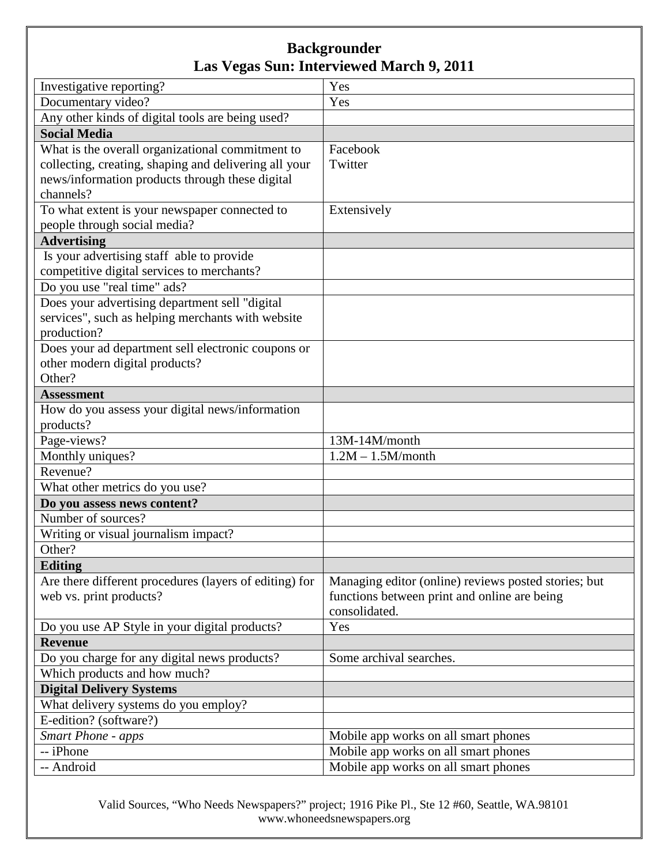| Investigative reporting?                               | Yes                                                  |
|--------------------------------------------------------|------------------------------------------------------|
| Documentary video?                                     | Yes                                                  |
| Any other kinds of digital tools are being used?       |                                                      |
| <b>Social Media</b>                                    |                                                      |
| What is the overall organizational commitment to       | Facebook                                             |
| collecting, creating, shaping and delivering all your  | Twitter                                              |
| news/information products through these digital        |                                                      |
| channels?                                              |                                                      |
| To what extent is your newspaper connected to          | Extensively                                          |
| people through social media?                           |                                                      |
| <b>Advertising</b>                                     |                                                      |
| Is your advertising staff able to provide              |                                                      |
| competitive digital services to merchants?             |                                                      |
| Do you use "real time" ads?                            |                                                      |
| Does your advertising department sell "digital         |                                                      |
| services", such as helping merchants with website      |                                                      |
| production?                                            |                                                      |
| Does your ad department sell electronic coupons or     |                                                      |
| other modern digital products?                         |                                                      |
| Other?                                                 |                                                      |
| <b>Assessment</b>                                      |                                                      |
| How do you assess your digital news/information        |                                                      |
| products?                                              |                                                      |
| Page-views?                                            | 13M-14M/month                                        |
| Monthly uniques?                                       | $1.2M - 1.5M/month$                                  |
| Revenue?                                               |                                                      |
| What other metrics do you use?                         |                                                      |
| Do you assess news content?                            |                                                      |
| Number of sources?                                     |                                                      |
| Writing or visual journalism impact?                   |                                                      |
| Other?                                                 |                                                      |
| <b>Editing</b>                                         |                                                      |
| Are there different procedures (layers of editing) for | Managing editor (online) reviews posted stories; but |
| web vs. print products?                                | functions between print and online are being         |
|                                                        | consolidated.                                        |
| Do you use AP Style in your digital products?          | Yes                                                  |
| <b>Revenue</b>                                         |                                                      |
| Do you charge for any digital news products?           | Some archival searches.                              |
| Which products and how much?                           |                                                      |
| <b>Digital Delivery Systems</b>                        |                                                      |
| What delivery systems do you employ?                   |                                                      |
| E-edition? (software?)                                 |                                                      |
| <b>Smart Phone - apps</b>                              | Mobile app works on all smart phones                 |
| -- iPhone                                              | Mobile app works on all smart phones                 |
| -- Android                                             | Mobile app works on all smart phones                 |

Valid Sources, "Who Needs Newspapers?" project; 1916 Pike Pl., Ste 12 #60, Seattle, WA.98101 www.whoneedsnewspapers.org